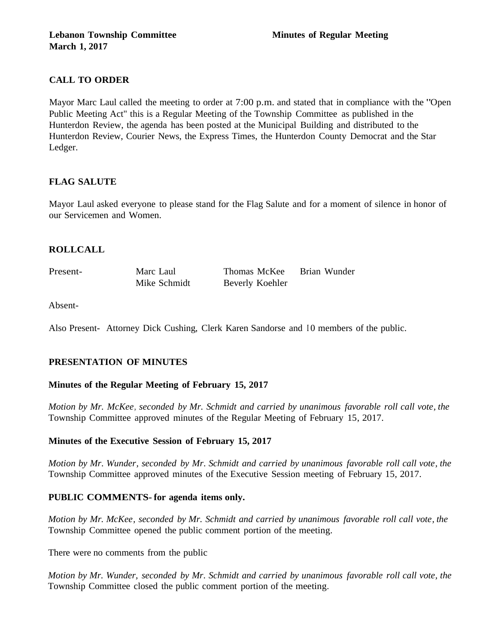# **CALL TO ORDER**

Mayor Marc Laul called the meeting to order at 7:00 p.m. and stated that in compliance with the "Open Public Meeting Act" this is a Regular Meeting of the Township Committee as published in the Hunterdon Review, the agenda has been posted at the Municipal Building and distributed to the Hunterdon Review, Courier News, the Express Times, the Hunterdon County Democrat and the Star Ledger.

## **FLAG SALUTE**

Mayor Laul asked everyone to please stand for the Flag Salute and for a moment of silence in honor of our Servicemen and Women.

## **ROLLCALL**

Present- Marc Laul Mike Schmidt Thomas McKee Brian Wunder Beverly Koehler

Absent-

Also Present- Attorney Dick Cushing, Clerk Karen Sandorse and I 0 members of the public.

# **PRESENTATION OF MINUTES**

## **Minutes of the Regular Meeting of February 15, 2017**

*Motion by Mr. McKee, seconded by Mr. Schmidt and carried by unanimous favorable roll call vote, the* Township Committee approved minutes of the Regular Meeting of February 15, 2017.

## **Minutes of the Executive Session of February 15, 2017**

*Motion by Mr. Wunder, seconded by Mr. Schmidt and carried by unanimous favorable roll call vote, the* Township Committee approved minutes of the Executive Session meeting of February 15, 2017.

## **PUBLIC COMMENTS- for agenda items only.**

*Motion by Mr. McKee, seconded by Mr. Schmidt and carried by unanimous favorable roll call vote, the* Township Committee opened the public comment portion of the meeting.

There were no comments from the public

*Motion by Mr. Wunder, seconded by Mr. Schmidt and carried by unanimous favorable roll call vote, the* Township Committee closed the public comment portion of the meeting.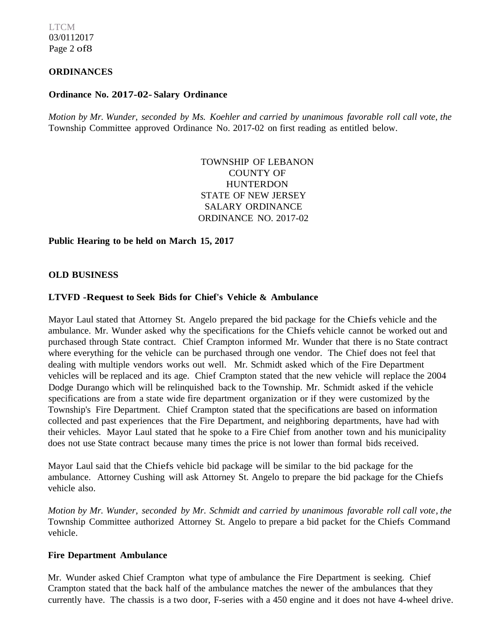LTCM 03/0112017 Page 2 of8

# **ORDINANCES**

#### **Ordinance No. 2017-02- Salary Ordinance**

*Motion by Mr. Wunder, seconded by Ms. Koehler and carried by unanimous favorable roll call vote, the* Township Committee approved Ordinance No. 2017-02 on first reading as entitled below.

> TOWNSHIP OF LEBANON COUNTY OF **HUNTERDON** STATE OF NEW JERSEY SALARY ORDINANCE ORDINANCE NO. 2017-02

#### **Public Hearing to be held on March 15, 2017**

#### **OLD BUSINESS**

#### **LTVFD -Request to Seek Bids for Chief's Vehicle & Ambulance**

Mayor Laul stated that Attorney St. Angelo prepared the bid package for the Chiefs vehicle and the ambulance. Mr. Wunder asked why the specifications for the Chiefs vehicle cannot be worked out and purchased through State contract. Chief Crampton informed Mr. Wunder that there is no State contract where everything for the vehicle can be purchased through one vendor. The Chief does not feel that dealing with multiple vendors works out well. Mr. Schmidt asked which of the Fire Department vehicles will be replaced and its age. Chief Crampton stated that the new vehicle will replace the 2004 Dodge Durango which will be relinquished back to the Township. Mr. Schmidt asked if the vehicle specifications are from a state wide fire department organization or if they were customized by the Township's Fire Department. Chief Crampton stated that the specifications are based on information collected and past experiences that the Fire Department, and neighboring departments, have had with their vehicles. Mayor Laul stated that he spoke to a Fire Chief from another town and his municipality does not use State contract because many times the price is not lower than formal bids received.

Mayor Laul said that the Chiefs vehicle bid package will be similar to the bid package for the ambulance. Attorney Cushing will ask Attorney St. Angelo to prepare the bid package for the Chiefs vehicle also.

*Motion by Mr. Wunder, seconded by Mr. Schmidt and carried by unanimous favorable roll call vote, the*  Township Committee authorized Attorney St. Angelo to prepare a bid packet for the Chiefs Command vehicle.

#### **Fire Department Ambulance**

Mr. Wunder asked Chief Crampton what type of ambulance the Fire Department is seeking. Chief Crampton stated that the back half of the ambulance matches the newer of the ambulances that they currently have. The chassis is a two door, F-series with a 450 engine and it does not have 4-wheel drive.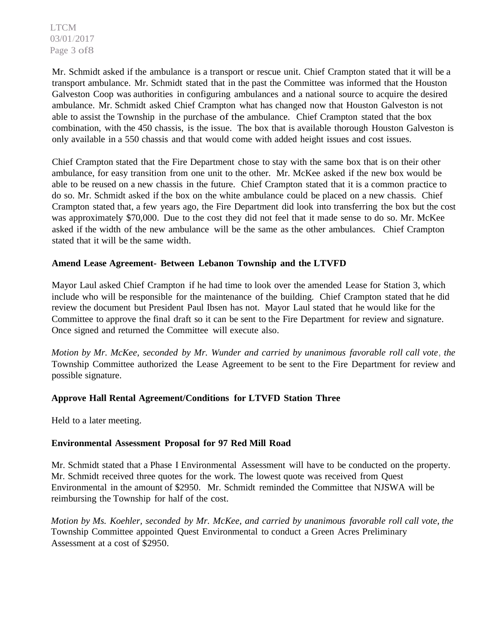LTCM 03/01/2017 Page 3 of8

Mr. Schmidt asked if the ambulance is a transport or rescue unit. Chief Crampton stated that it will be a transport ambulance. Mr. Schmidt stated that in the past the Committee was informed that the Houston Galveston Coop was authorities in configuring ambulances and a national source to acquire the desired ambulance. Mr. Schmidt asked Chief Crampton what has changed now that Houston Galveston is not able to assist the Township in the purchase of the ambulance. Chief Crampton stated that the box combination, with the 450 chassis, is the issue. The box that is available thorough Houston Galveston is only available in a 550 chassis and that would come with added height issues and cost issues.

Chief Crampton stated that the Fire Department chose to stay with the same box that is on their other ambulance, for easy transition from one unit to the other. Mr. McKee asked if the new box would be able to be reused on a new chassis in the future. Chief Crampton stated that it is a common practice to do so. Mr. Schmidt asked if the box on the white ambulance could be placed on a new chassis. Chief Crampton stated that, a few years ago, the Fire Department did look into transferring the box but the cost was approximately \$70,000. Due to the cost they did not feel that it made sense to do so. Mr. McKee asked if the width of the new ambulance will be the same as the other ambulances. Chief Crampton stated that it will be the same width.

#### **Amend Lease Agreement- Between Lebanon Township and the LTVFD**

Mayor Laul asked Chief Crampton if he had time to look over the amended Lease for Station 3, which include who will be responsible for the maintenance of the building. Chief Crampton stated that he did review the document but President Paul Ibsen has not. Mayor Laul stated that he would like for the Committee to approve the final draft so it can be sent to the Fire Department for review and signature. Once signed and returned the Committee will execute also.

*Motion by Mr. McKee, seconded by Mr. Wunder and carried by unanimous favorable roll call vote , the*  Township Committee authorized the Lease Agreement to be sent to the Fire Department for review and possible signature.

## **Approve Hall Rental Agreement/Conditions for LTVFD Station Three**

Held to a later meeting.

## **Environmental Assessment Proposal for 97 Red Mill Road**

Mr. Schmidt stated that a Phase I Environmental Assessment will have to be conducted on the property. Mr. Schmidt received three quotes for the work. The lowest quote was received from Quest Environmental in the amount of \$2950. Mr. Schmidt reminded the Committee that NJSWA will be reimbursing the Township for half of the cost.

*Motion by Ms. Koehler, seconded by Mr. McKee, and carried by unanimous favorable roll call vote, the* Township Committee appointed Quest Environmental to conduct a Green Acres Preliminary Assessment at a cost of \$2950.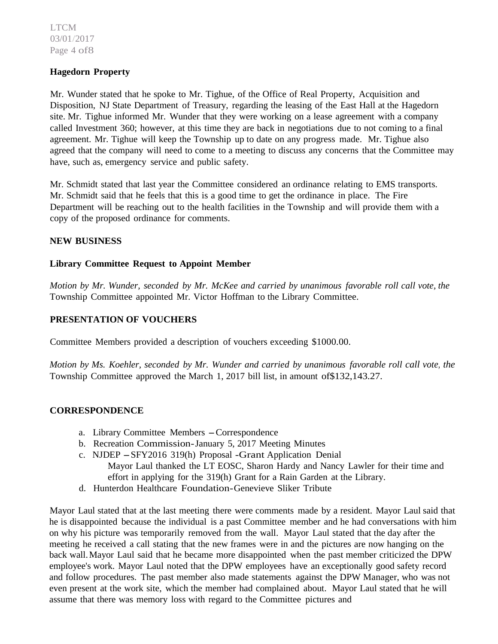LTCM 03/01/2017 Page 4 of8

### **Hagedorn Property**

Mr. Wunder stated that he spoke to Mr. Tighue, of the Office of Real Property, Acquisition and Disposition, NJ State Department of Treasury, regarding the leasing of the East Hall at the Hagedorn site. Mr. Tighue informed Mr. Wunder that they were working on a lease agreement with a company called Investment 360; however, at this time they are back in negotiations due to not coming to a final agreement. Mr. Tighue will keep the Township up to date on any progress made. Mr. Tighue also agreed that the company will need to come to a meeting to discuss any concerns that the Committee may have, such as, emergency service and public safety.

Mr. Schmidt stated that last year the Committee considered an ordinance relating to EMS transports. Mr. Schmidt said that he feels that this is a good time to get the ordinance in place. The Fire Department will be reaching out to the health facilities in the Township and will provide them with a copy of the proposed ordinance for comments.

#### **NEW BUSINESS**

#### **Library Committee Request to Appoint Member**

*Motion by Mr. Wunder, seconded by Mr. McKee and carried by unanimous favorable roll call vote, the* Township Committee appointed Mr. Victor Hoffman to the Library Committee.

### **PRESENTATION OF VOUCHERS**

Committee Members provided a description of vouchers exceeding \$1000.00.

*Motion by Ms. Koehler, seconded by Mr. Wunder and carried by unanimous favorable roll call vote, the* Township Committee approved the March 1, 2017 bill list, in amount of\$132,143.27.

#### **CORRESPONDENCE**

- a. Library Committee Members -Correspondence
- b. Recreation Commission-January 5, 2017 Meeting Minutes
- c. NJDEP -SFY2016 319(h) Proposal -Grant Application Denial Mayor Laul thanked the LT EOSC, Sharon Hardy and Nancy Lawler for their time and
	- effort in applying for the 319(h) Grant for a Rain Garden at the Library.
- d. Hunterdon Healthcare Foundation-Genevieve Sliker Tribute

Mayor Laul stated that at the last meeting there were comments made by a resident. Mayor Laul said that he is disappointed because the individual is a past Committee member and he had conversations with him on why his picture was temporarily removed from the wall. Mayor Laul stated that the day after the meeting he received a call stating that the new frames were in and the pictures are now hanging on the back wall. Mayor Laul said that he became more disappointed when the past member criticized the DPW employee's work. Mayor Laul noted that the DPW employees have an exceptionally good safety record and follow procedures. The past member also made statements against the DPW Manager, who was not even present at the work site, which the member had complained about. Mayor Laul stated that he will assume that there was memory loss with regard to the Committee pictures and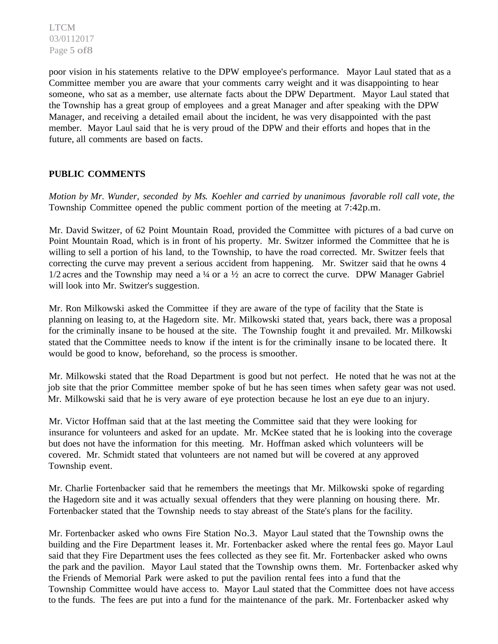poor vision in his statements relative to the DPW employee's performance. Mayor Laul stated that as a Committee member you are aware that your comments carry weight and it was disappointing to hear someone, who sat as a member, use alternate facts about the DPW Department. Mayor Laul stated that the Township has a great group of employees and a great Manager and after speaking with the DPW Manager, and receiving a detailed email about the incident, he was very disappointed with the past member. Mayor Laul said that he is very proud of the DPW and their efforts and hopes that in the future, all comments are based on facts.

# **PUBLIC COMMENTS**

*Motion by Mr. Wunder, seconded by Ms. Koehler and carried by unanimous favorable roll call vote, the* Township Committee opened the public comment portion of the meeting at 7:42p.m.

Mr. David Switzer, of 62 Point Mountain Road, provided the Committee with pictures of a bad curve on Point Mountain Road, which is in front of his property. Mr. Switzer informed the Committee that he is willing to sell a portion of his land, to the Township, to have the road corrected. Mr. Switzer feels that correcting the curve may prevent a serious accident from happening. Mr. Switzer said that he owns 4  $1/2$  acres and the Township may need a ¼ or a  $\frac{1}{2}$  an acre to correct the curve. DPW Manager Gabriel will look into Mr. Switzer's suggestion.

Mr. Ron Milkowski asked the Committee if they are aware of the type of facility that the State is planning on leasing to, at the Hagedorn site. Mr. Milkowski stated that, years back, there was a proposal for the criminally insane to be housed at the site. The Township fought it and prevailed. Mr. Milkowski stated that the Committee needs to know if the intent is for the criminally insane to be located there. It would be good to know, beforehand, so the process is smoother.

Mr. Milkowski stated that the Road Department is good but not perfect. He noted that he was not at the job site that the prior Committee member spoke of but he has seen times when safety gear was not used. Mr. Milkowski said that he is very aware of eye protection because he lost an eye due to an injury.

Mr. Victor Hoffman said that at the last meeting the Committee said that they were looking for insurance for volunteers and asked for an update. Mr. McKee stated that he is looking into the coverage but does not have the information for this meeting. Mr. Hoffman asked which volunteers will be covered. Mr. Schmidt stated that volunteers are not named but will be covered at any approved Township event.

Mr. Charlie Fortenbacker said that he remembers the meetings that Mr. Milkowski spoke of regarding the Hagedorn site and it was actually sexual offenders that they were planning on housing there. Mr. Fortenbacker stated that the Township needs to stay abreast of the State's plans for the facility.

Mr. Fortenbacker asked who owns Fire Station No.3. Mayor Laul stated that the Township owns the building and the Fire Department leases it. Mr. Fortenbacker asked where the rental fees go. Mayor Laul said that they Fire Department uses the fees collected as they see fit. Mr. Fortenbacker asked who owns the park and the pavilion. Mayor Laul stated that the Township owns them. Mr. Fortenbacker asked why the Friends of Memorial Park were asked to put the pavilion rental fees into a fund that the Township Committee would have access to. Mayor Laul stated that the Committee does not have access to the funds. The fees are put into a fund for the maintenance of the park. Mr. Fortenbacker asked why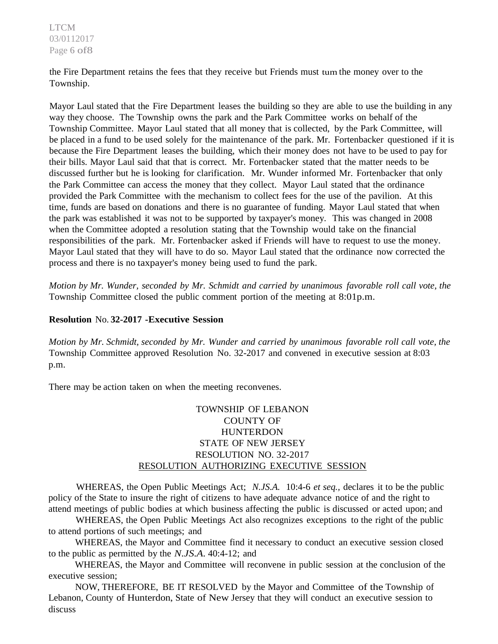LTCM 03/0112017 Page 6 of8

the Fire Department retains the fees that they receive but Friends must tum the money over to the Township.

Mayor Laul stated that the Fire Department leases the building so they are able to use the building in any way they choose. The Township owns the park and the Park Committee works on behalf of the Township Committee. Mayor Laul stated that all money that is collected, by the Park Committee, will be placed in a fund to be used solely for the maintenance of the park. Mr. Fortenbacker questioned if it is because the Fire Department leases the building, which their money does not have to be used to pay for their bills. Mayor Laul said that that is correct. Mr. Fortenbacker stated that the matter needs to be discussed further but he is looking for clarification. Mr. Wunder informed Mr. Fortenbacker that only the Park Committee can access the money that they collect. Mayor Laul stated that the ordinance provided the Park Committee with the mechanism to collect fees for the use of the pavilion. At this time, funds are based on donations and there is no guarantee of funding. Mayor Laul stated that when the park was established it was not to be supported by taxpayer's money. This was changed in 2008 when the Committee adopted a resolution stating that the Township would take on the financial responsibilities of the park. Mr. Fortenbacker asked if Friends will have to request to use the money. Mayor Laul stated that they will have to do so. Mayor Laul stated that the ordinance now corrected the process and there is no taxpayer's money being used to fund the park.

*Motion by Mr. Wunder, seconded by Mr. Schmidt and carried by unanimous favorable roll call vote, the* Township Committee closed the public comment portion of the meeting at 8:01p.m.

#### **Resolution** No. **32-2017 -Executive Session**

*Motion by Mr. Schmidt, seconded by Mr. Wunder and carried by unanimous favorable roll call vote, the* Township Committee approved Resolution No. 32-2017 and convened in executive session at 8:03 p.m.

There may be action taken on when the meeting reconvenes.

# TOWNSHIP OF LEBANON COUNTY OF **HUNTERDON** STATE OF NEW JERSEY RESOLUTION NO. 32-2017 RESOLUTION AUTHORIZING EXECUTIVE SESSION

WHEREAS, the Open Public Meetings Act; *N.JS.A.* 10:4-6 *et seq.,* declares it to be the public policy of the State to insure the right of citizens to have adequate advance notice of and the right to attend meetings of public bodies at which business affecting the public is discussed or acted upon; and

WHEREAS, the Open Public Meetings Act also recognizes exceptions to the right of the public to attend portions of such meetings; and

WHEREAS, the Mayor and Committee find it necessary to conduct an executive session closed to the public as permitted by the *N.JS.A.* 40:4-12; and

WHEREAS, the Mayor and Committee will reconvene in public session at the conclusion of the executive session;

NOW, THEREFORE, BE IT RESOLVED by the Mayor and Committee of the Township of Lebanon, County of Hunterdon, State of New Jersey that they will conduct an executive session to discuss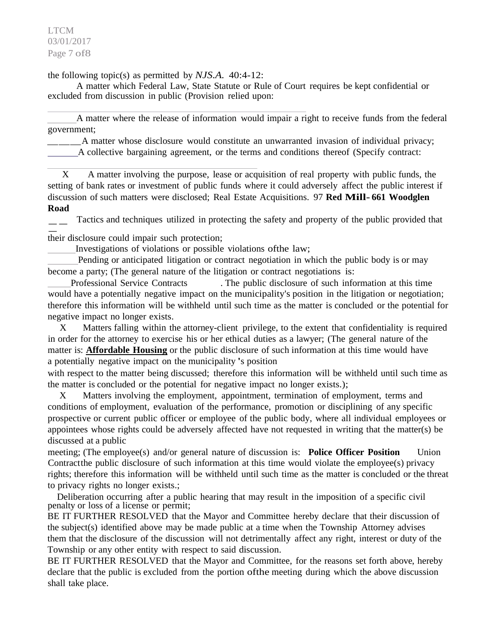LTCM 03/01/2017 Page 7 of8

the following topic(s) as permitted by *NJS.A.* 40:4-12:

A matter which Federal Law, State Statute or Rule of Court requires be kept confidential or excluded from discussion in public (Provision relied upon:

A matter where the release of information would impair a right to receive funds from the federal government;

\_\_\_A matter whose disclosure would constitute an unwarranted invasion of individual privacy; A collective bargaining agreement, or the terms and conditions thereof (Specify contract:

X A matter involving the purpose, lease or acquisition of real property with public funds, the setting of bank rates or investment of public funds where it could adversely affect the public interest if discussion of such matters were disclosed; Real Estate Acquisitions. 97 **Red Mill- 661 Woodglen** 

**Road**<br>
— — **Koad**<br>
— Tactics and techniques utilized in prot<br>
their disclosure could impair such protection; Tactics and techniques utilized in protecting the safety and property of the public provided that

Investigations of violations or possible violations ofthe law;

Pending or anticipated litigation or contract negotiation in which the public body is or may become a party; (The general nature of the litigation or contract negotiations is:

Professional Service Contracts . The public disclosure of such information at this time would have a potentially negative impact on the municipality's position in the litigation or negotiation; therefore this information will be withheld until such time as the matter is concluded or the potential for negative impact no longer exists.

X Matters falling within the attorney-client privilege, to the extent that confidentiality is required in order for the attorney to exercise his or her ethical duties as a lawyer; (The general nature of the matter is: **Affordable Housing** or the public disclosure of such information at this time would have a potentially negative impact on the municipality 's position

with respect to the matter being discussed; therefore this information will be withheld until such time as the matter is concluded or the potential for negative impact no longer exists.);

X Matters involving the employment, appointment, termination of employment, terms and conditions of employment, evaluation of the performance, promotion or disciplining of any specific prospective or current public officer or employee of the public body, where all individual employees or appointees whose rights could be adversely affected have not requested in writing that the matter(s) be discussed at a public

meeting; (The employee(s) and/or general nature of discussion is: **Police Officer Position** Union Contract the public disclosure of such information at this time would violate the employee(s) privacy rights; therefore this information will be withheld until such time as the matter is concluded or the threat to privacy rights no longer exists.;

Deliberation occurring after a public hearing that may result in the imposition of a specific civil penalty or loss of a license or permit;

BE IT FURTHER RESOLVED that the Mayor and Committee hereby declare that their discussion of the subject(s) identified above may be made public at a time when the Township Attorney advises them that the disclosure of the discussion will not detrimentally affect any right, interest or duty of the Township or any other entity with respect to said discussion.

BE IT FURTHER RESOLVED that the Mayor and Committee, for the reasons set forth above, hereby declare that the public is excluded from the portion ofthe meeting during which the above discussion shall take place.